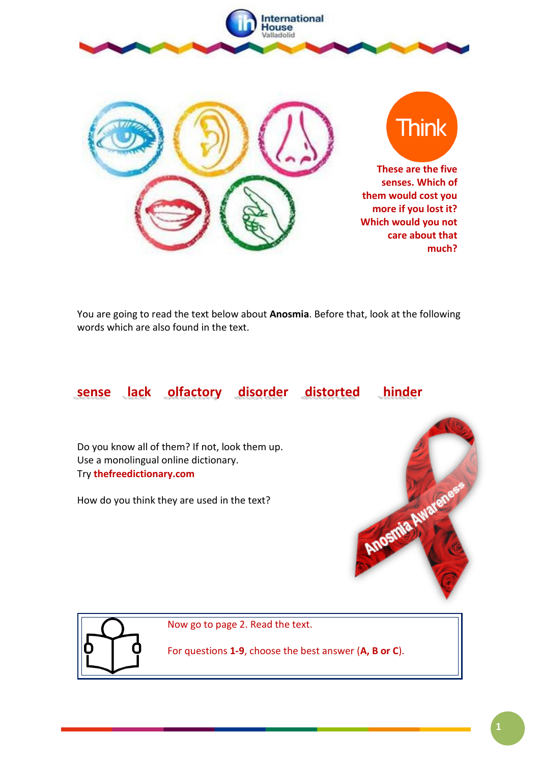

You are going to read the text below about **Anosmia**. Before that, look at the following words which are also found in the text.

## **sense lack olfactory disorder distorted hinder**

Do you know all of them? If not, look them up. Use a monolingual online dictionary. Try **thefreedictionary.com**

How do you think they are used in the text?





Now go to page 2. Read the text.

For questions **1-9**, choose the best answer (**A, B or C**).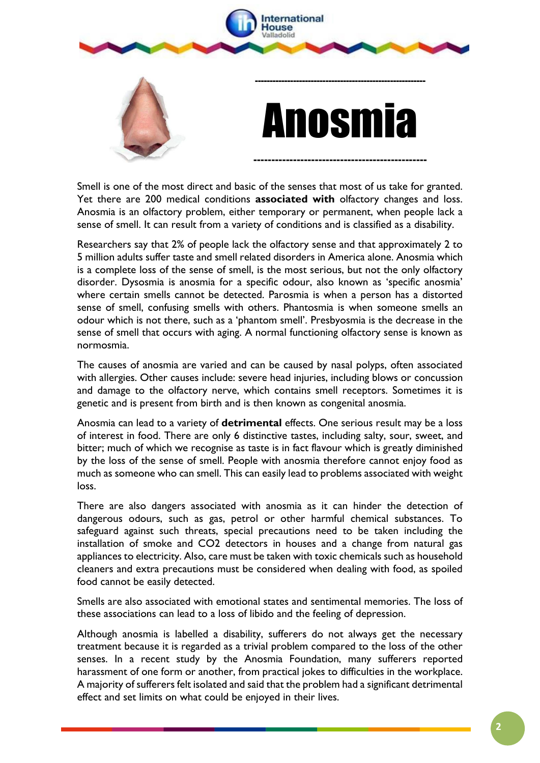

Smell is one of the most direct and basic of the senses that most of us take for granted. Yet there are 200 medical conditions **associated with** olfactory changes and loss. Anosmia is an olfactory problem, either temporary or permanent, when people lack a sense of smell. It can result from a variety of conditions and is classified as a disability.

Researchers say that 2% of people lack the olfactory sense and that approximately 2 to 5 million adults suffer taste and smell related disorders in America alone. Anosmia which is a complete loss of the sense of smell, is the most serious, but not the only olfactory disorder. Dysosmia is anosmia for a specific odour, also known as 'specific anosmia' where certain smells cannot be detected. Parosmia is when a person has a distorted sense of smell, confusing smells with others. Phantosmia is when someone smells an odour which is not there, such as a 'phantom smell'. Presbyosmia is the decrease in the sense of smell that occurs with aging. A normal functioning olfactory sense is known as normosmia.

The causes of anosmia are varied and can be caused by nasal polyps, often associated with allergies. Other causes include: severe head injuries, including blows or concussion and damage to the olfactory nerve, which contains smell receptors. Sometimes it is genetic and is present from birth and is then known as congenital anosmia.

Anosmia can lead to a variety of **detrimental** effects. One serious result may be a loss of interest in food. There are only 6 distinctive tastes, including salty, sour, sweet, and bitter; much of which we recognise as taste is in fact flavour which is greatly diminished by the loss of the sense of smell. People with anosmia therefore cannot enjoy food as much as someone who can smell. This can easily lead to problems associated with weight loss.

There are also dangers associated with anosmia as it can hinder the detection of dangerous odours, such as gas, petrol or other harmful chemical substances. To safeguard against such threats, special precautions need to be taken including the installation of smoke and CO2 detectors in houses and a change from natural gas appliances to electricity. Also, care must be taken with toxic chemicals such as household cleaners and extra precautions must be considered when dealing with food, as spoiled food cannot be easily detected.

Smells are also associated with emotional states and sentimental memories. The loss of these associations can lead to a loss of libido and the feeling of depression.

Although anosmia is labelled a disability, sufferers do not always get the necessary treatment because it is regarded as a trivial problem compared to the loss of the other senses. In a recent study by the Anosmia Foundation, many sufferers reported harassment of one form or another, from practical jokes to difficulties in the workplace. A majority of sufferers felt isolated and said that the problem had a significant detrimental effect and set limits on what could be enjoyed in their lives.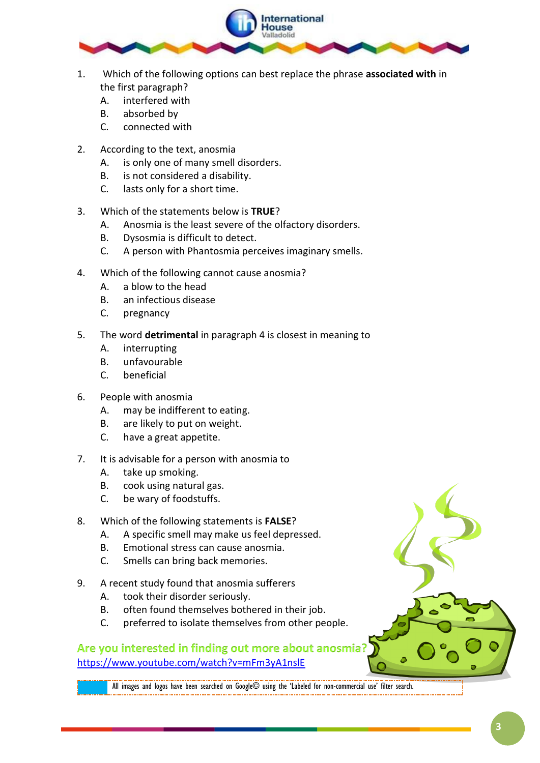

- 1. Which of the following options can best replace the phrase **associated with** in the first paragraph?
	- A. interfered with
	- B. absorbed by
	- C. connected with
- 2. According to the text, anosmia
	- A. is only one of many smell disorders.
	- B. is not considered a disability.
	- C. lasts only for a short time.
- 3. Which of the statements below is **TRUE**?
	- A. Anosmia is the least severe of the olfactory disorders.
	- B. Dysosmia is difficult to detect.
	- C. A person with Phantosmia perceives imaginary smells.
- 4. Which of the following cannot cause anosmia?
	- A. a blow to the head
	- B. an infectious disease
	- C. pregnancy
- 5. The word **detrimental** in paragraph 4 is closest in meaning to
	- A. interrupting
	- B. unfavourable
	- C. beneficial
- 6. People with anosmia
	- A. may be indifferent to eating.
	- B. are likely to put on weight.
	- C. have a great appetite.
- 7. It is advisable for a person with anosmia to
	- A. take up smoking.
	- B. cook using natural gas.
	- C. be wary of foodstuffs.
- 8. Which of the following statements is **FALSE**?
	- A. A specific smell may make us feel depressed.
	- B. Emotional stress can cause anosmia.
	- C. Smells can bring back memories.
- 9. A recent study found that anosmia sufferers
	- A. took their disorder seriously.
	- B. often found themselves bothered in their job.
	- C. preferred to isolate themselves from other people.

## **Are you interested in finding out more about anosmia?** <https://www.youtube.com/watch?v=mFm3yA1nslE>

All images and logos have been searched on Google© using the 'Labeled for non-commercial use' filter search.